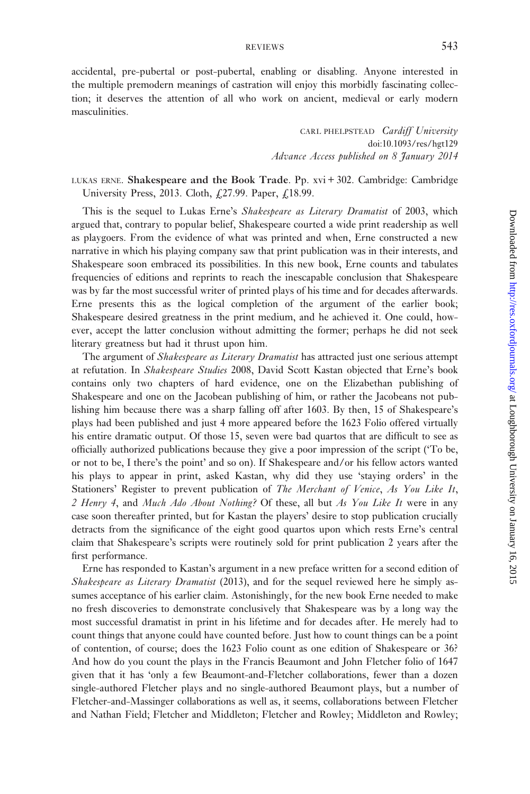accidental, pre-pubertal or post-pubertal, enabling or disabling. Anyone interested in the multiple premodern meanings of castration will enjoy this morbidly fascinating collection; it deserves the attention of all who work on ancient, medieval or early modern masculinities.

> CARL PHELPSTEAD Cardiff University doi:10.1093/res/hgt129 Advance Access published on 8 January 2014

LUKAS ERNE. Shakespeare and the Book Trade. Pp. xvi + 302. Cambridge: Cambridge University Press, 2013. Cloth, £27.99. Paper, £18.99.

This is the sequel to Lukas Erne's Shakespeare as Literary Dramatist of 2003, which argued that, contrary to popular belief, Shakespeare courted a wide print readership as well as playgoers. From the evidence of what was printed and when, Erne constructed a new narrative in which his playing company saw that print publication was in their interests, and Shakespeare soon embraced its possibilities. In this new book, Erne counts and tabulates frequencies of editions and reprints to reach the inescapable conclusion that Shakespeare was by far the most successful writer of printed plays of his time and for decades afterwards. Erne presents this as the logical completion of the argument of the earlier book; Shakespeare desired greatness in the print medium, and he achieved it. One could, however, accept the latter conclusion without admitting the former; perhaps he did not seek literary greatness but had it thrust upon him.

The argument of *Shakespeare as Literary Dramatist* has attracted just one serious attempt at refutation. In Shakespeare Studies 2008, David Scott Kastan objected that Erne's book contains only two chapters of hard evidence, one on the Elizabethan publishing of Shakespeare and one on the Jacobean publishing of him, or rather the Jacobeans not publishing him because there was a sharp falling off after 1603. By then, 15 of Shakespeare's plays had been published and just 4 more appeared before the 1623 Folio offered virtually his entire dramatic output. Of those 15, seven were bad quartos that are difficult to see as officially authorized publications because they give a poor impression of the script ('To be, or not to be, I there's the point' and so on). If Shakespeare and/or his fellow actors wanted his plays to appear in print, asked Kastan, why did they use 'staying orders' in the Stationers' Register to prevent publication of The Merchant of Venice, As You Like It, 2 Henry 4, and Much Ado About Nothing? Of these, all but As You Like It were in any case soon thereafter printed, but for Kastan the players' desire to stop publication crucially detracts from the significance of the eight good quartos upon which rests Erne's central claim that Shakespeare's scripts were routinely sold for print publication 2 years after the first performance.

Erne has responded to Kastan's argument in a new preface written for a second edition of Shakespeare as Literary Dramatist (2013), and for the sequel reviewed here he simply assumes acceptance of his earlier claim. Astonishingly, for the new book Erne needed to make no fresh discoveries to demonstrate conclusively that Shakespeare was by a long way the most successful dramatist in print in his lifetime and for decades after. He merely had to count things that anyone could have counted before. Just how to count things can be a point of contention, of course; does the 1623 Folio count as one edition of Shakespeare or 36? And how do you count the plays in the Francis Beaumont and John Fletcher folio of 1647 given that it has 'only a few Beaumont-and-Fletcher collaborations, fewer than a dozen single-authored Fletcher plays and no single-authored Beaumont plays, but a number of Fletcher-and-Massinger collaborations as well as, it seems, collaborations between Fletcher and Nathan Field; Fletcher and Middleton; Fletcher and Rowley; Middleton and Rowley;